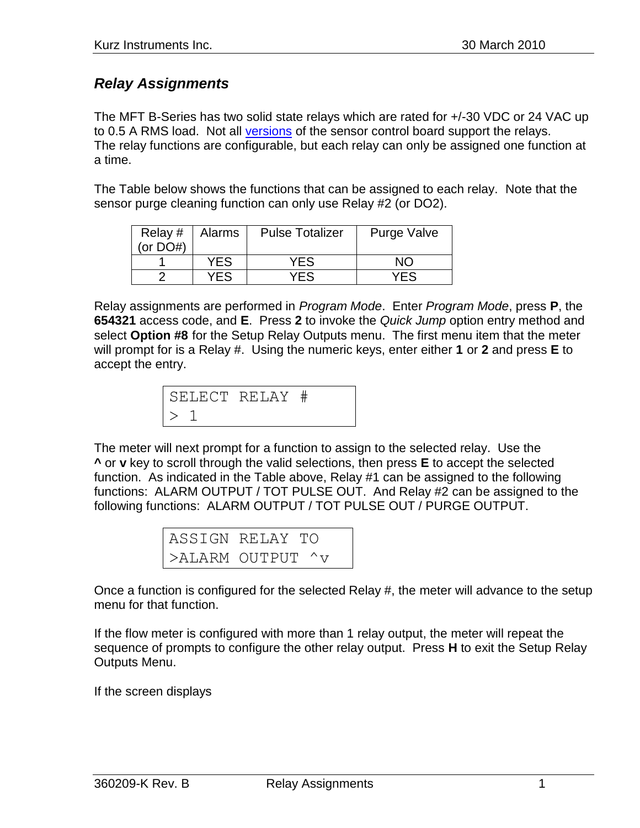## *Relay Assignments*

The MFT B-Series has two solid state relays which are rated for +/-30 VDC or 24 VAC up to 0.5 A RMS load. Not all [versions](360209-I%20SC%20board%20versions.pdf) of the sensor control board support the relays. The relay functions are configurable, but each relay can only be assigned one function at a time.

The Table below shows the functions that can be assigned to each relay. Note that the sensor purge cleaning function can only use Relay #2 (or DO2).

| Relay $#$   Alarms<br>(or $DO#$ ) |            | <b>Pulse Totalizer</b> | <b>Purge Valve</b> |
|-----------------------------------|------------|------------------------|--------------------|
|                                   | <b>YES</b> | YES                    | <b>NO</b>          |
|                                   | <b>YES</b> | YES                    | YES                |

Relay assignments are performed in *Program Mode*. Enter *Program Mode*, press **P**, the **654321** access code, and **E**. Press **2** to invoke the *Quick Jump* option entry method and select **Option #8** for the Setup Relay Outputs menu. The first menu item that the meter will prompt for is a Relay #. Using the numeric keys, enter either **1** or **2** and press **E** to accept the entry.

| SELECT RELAY # |  |
|----------------|--|
|                |  |

The meter will next prompt for a function to assign to the selected relay. Use the **^** or **v** key to scroll through the valid selections, then press **E** to accept the selected function. As indicated in the Table above, Relay #1 can be assigned to the following functions: ALARM OUTPUT / TOT PULSE OUT. And Relay #2 can be assigned to the following functions: ALARM OUTPUT / TOT PULSE OUT / PURGE OUTPUT.

| ASSIGN RELAY TO  |
|------------------|
| >ALARM OUTPUT ^v |

Once a function is configured for the selected Relay #, the meter will advance to the setup menu for that function.

If the flow meter is configured with more than 1 relay output, the meter will repeat the sequence of prompts to configure the other relay output. Press **H** to exit the Setup Relay Outputs Menu.

If the screen displays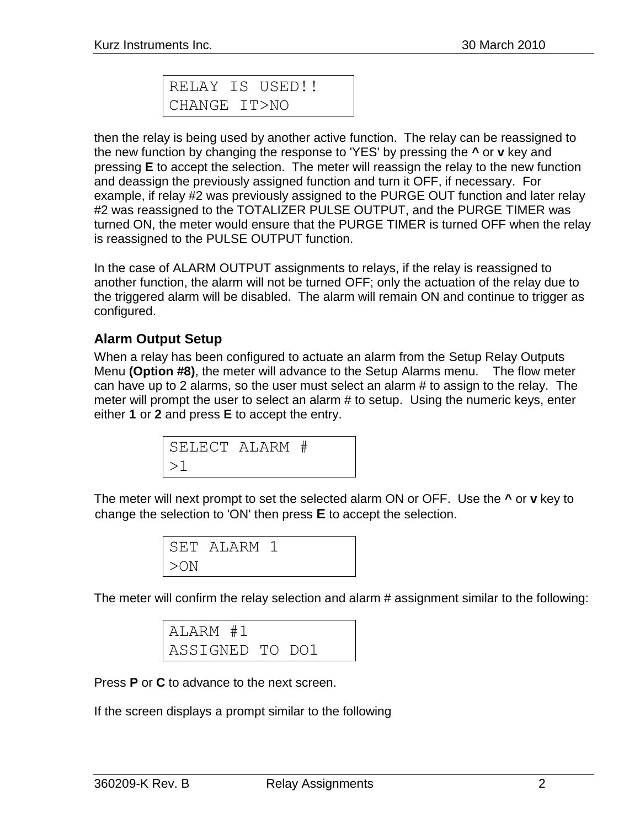|              | RELAY IS USED!! |  |
|--------------|-----------------|--|
| CHANGE IT>NO |                 |  |

then the relay is being used by another active function. The relay can be reassigned to the new function by changing the response to 'YES' by pressing the **^** or **v** key and pressing **E** to accept the selection. The meter will reassign the relay to the new function and deassign the previously assigned function and turn it OFF, if necessary. For example, if relay #2 was previously assigned to the PURGE OUT function and later relay #2 was reassigned to the TOTALIZER PULSE OUTPUT, and the PURGE TIMER was turned ON, the meter would ensure that the PURGE TIMER is turned OFF when the relay is reassigned to the PULSE OUTPUT function.

In the case of ALARM OUTPUT assignments to relays, if the relay is reassigned to another function, the alarm will not be turned OFF; only the actuation of the relay due to the triggered alarm will be disabled. The alarm will remain ON and continue to trigger as configured.

## **Alarm Output Setup**

When a relay has been configured to actuate an alarm from the Setup Relay Outputs Menu **(Option #8)**, the meter will advance to the Setup Alarms menu. The flow meter can have up to 2 alarms, so the user must select an alarm # to assign to the relay. The meter will prompt the user to select an alarm # to setup. Using the numeric keys, enter either **1** or **2** and press **E** to accept the entry.

| SELECT ALARM # |  |  |
|----------------|--|--|
| >1             |  |  |

The meter will next prompt to set the selected alarm ON or OFF. Use the **^** or **v** key to change the selection to 'ON' then press **E** to accept the selection.

|        | SET ALARM 1 |  |
|--------|-------------|--|
| $>$ ON |             |  |

The meter will confirm the relay selection and alarm # assignment similar to the following:

| ALARM #1        |  |  |
|-----------------|--|--|
| ASSIGNED TO DO1 |  |  |

Press **P** or **C** to advance to the next screen.

If the screen displays a prompt similar to the following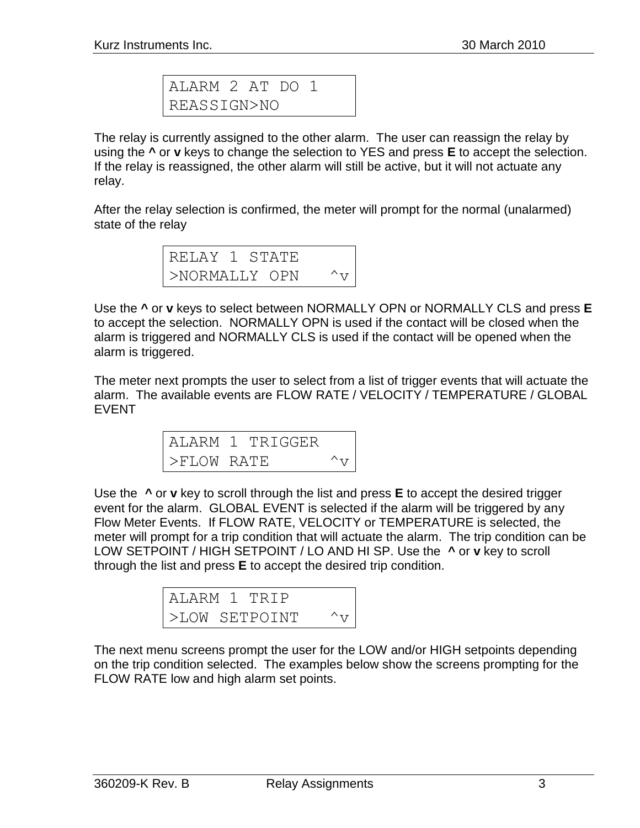ALARM 2 AT DO 1 REASSIGN>NO

The relay is currently assigned to the other alarm. The user can reassign the relay by using the **^** or **v** keys to change the selection to YES and press **E** to accept the selection. If the relay is reassigned, the other alarm will still be active, but it will not actuate any relay.

After the relay selection is confirmed, the meter will prompt for the normal (unalarmed) state of the relay

| RELAY 1 STATE |  |  |  |
|---------------|--|--|--|
| >NORMALLY OPN |  |  |  |

Use the **^** or **v** keys to select between NORMALLY OPN or NORMALLY CLS and press **E** to accept the selection. NORMALLY OPN is used if the contact will be closed when the alarm is triggered and NORMALLY CLS is used if the contact will be opened when the alarm is triggered.

The meter next prompts the user to select from a list of trigger events that will actuate the alarm. The available events are FLOW RATE / VELOCITY / TEMPERATURE / GLOBAL EVENT

|            | ALARM 1 TRIGGER |               |
|------------|-----------------|---------------|
| >FLOW RATE |                 | $\wedge_{77}$ |

Use the **^** or **v** key to scroll through the list and press **E** to accept the desired trigger event for the alarm. GLOBAL EVENT is selected if the alarm will be triggered by any Flow Meter Events. If FLOW RATE, VELOCITY or TEMPERATURE is selected, the meter will prompt for a trip condition that will actuate the alarm. The trip condition can be LOW SETPOINT / HIGH SETPOINT / LO AND HI SP. Use the **^** or **v** key to scroll through the list and press **E** to accept the desired trip condition.

|  | ALARM 1 TRIP  |               |
|--|---------------|---------------|
|  | >LOW SETPOINT | $\wedge_{77}$ |

The next menu screens prompt the user for the LOW and/or HIGH setpoints depending on the trip condition selected. The examples below show the screens prompting for the FLOW RATE low and high alarm set points.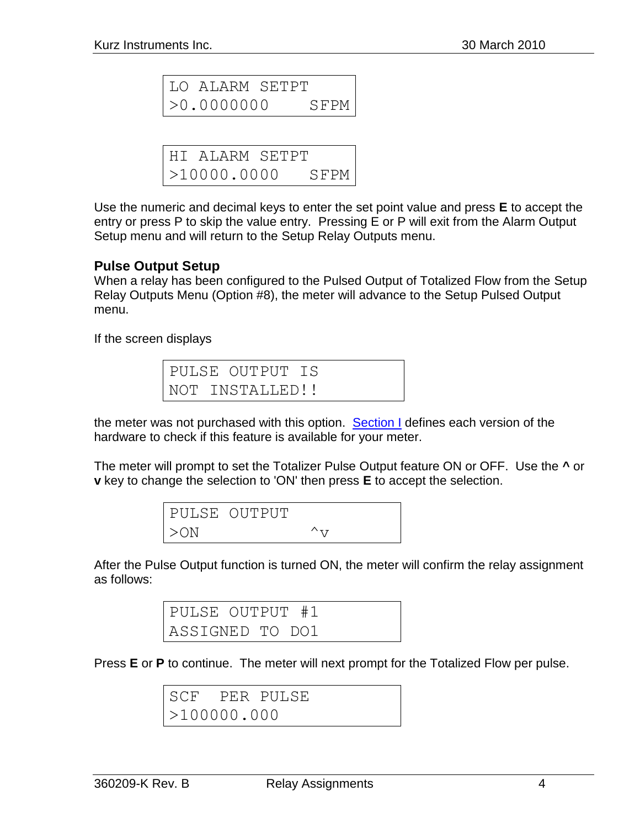```
LO ALARM SETPT
>0.0000000 SFPM
```
HI ALARM SETPT >10000.0000 SFPM

Use the numeric and decimal keys to enter the set point value and press **E** to accept the entry or press P to skip the value entry. Pressing E or P will exit from the Alarm Output Setup menu and will return to the Setup Relay Outputs menu.

## **Pulse Output Setup**

When a relay has been configured to the Pulsed Output of Totalized Flow from the Setup Relay Outputs Menu (Option #8), the meter will advance to the Setup Pulsed Output menu.

If the screen displays

```
PULSE OUTPUT IS
NOT INSTALLED!!
```
the meter was not purchased with this option. [Section I](360209-I%20SC%20board%20versions.pdf) defines each version of the hardware to check if this feature is available for your meter.

The meter will prompt to set the Totalizer Pulse Output feature ON or OFF. Use the **^** or **v** key to change the selection to 'ON' then press **E** to accept the selection.

> PULSE OUTPUT  $>$ ON  $\sim$

After the Pulse Output function is turned ON, the meter will confirm the relay assignment as follows:

> PULSE OUTPUT #1 ASSIGNED TO DO1

Press **E** or **P** to continue. The meter will next prompt for the Totalized Flow per pulse.

SCF PER PULSE >100000.000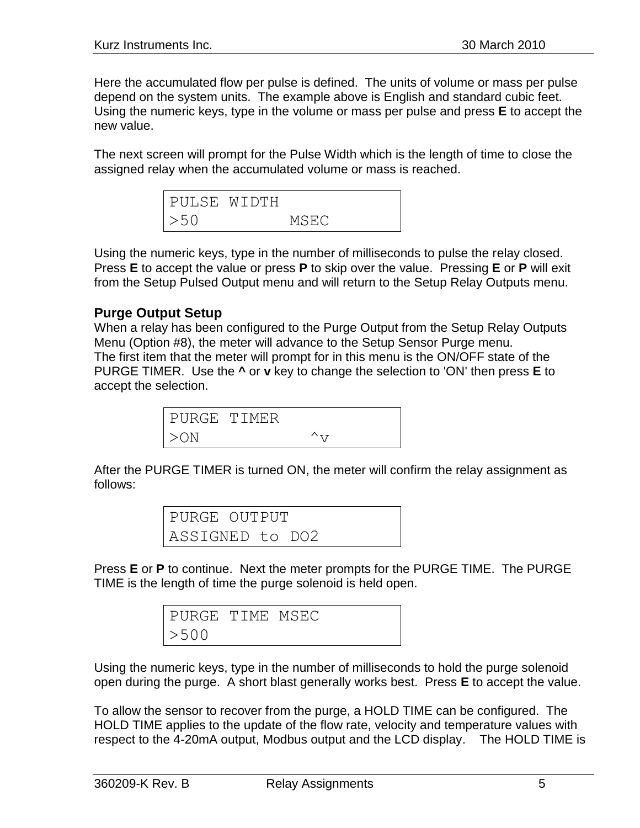Here the accumulated flow per pulse is defined. The units of volume or mass per pulse depend on the system units. The example above is English and standard cubic feet. Using the numeric keys, type in the volume or mass per pulse and press **E** to accept the new value.

The next screen will prompt for the Pulse Width which is the length of time to close the assigned relay when the accumulated volume or mass is reached.



Using the numeric keys, type in the number of milliseconds to pulse the relay closed. Press **E** to accept the value or press **P** to skip over the value. Pressing **E** or **P** will exit from the Setup Pulsed Output menu and will return to the Setup Relay Outputs menu.

## **Purge Output Setup**

When a relay has been configured to the Purge Output from the Setup Relay Outputs Menu (Option #8), the meter will advance to the Setup Sensor Purge menu. The first item that the meter will prompt for in this menu is the ON/OFF state of the PURGE TIMER. Use the **^** or **v** key to change the selection to 'ON' then press **E** to accept the selection.

|        | PURGE TIMER |                 |  |
|--------|-------------|-----------------|--|
| $>$ ON |             | $\wedge_{\tau}$ |  |

After the PURGE TIMER is turned ON, the meter will confirm the relay assignment as follows:

| PURGE OUTPUT    |  |  |
|-----------------|--|--|
| ASSIGNED to DO2 |  |  |

Press **E** or **P** to continue. Next the meter prompts for the PURGE TIME. The PURGE TIME is the length of time the purge solenoid is held open.

| PURGE TIME MSEC |  |  |
|-----------------|--|--|
| >500            |  |  |

Using the numeric keys, type in the number of milliseconds to hold the purge solenoid open during the purge. A short blast generally works best. Press **E** to accept the value.

To allow the sensor to recover from the purge, a HOLD TIME can be configured. The HOLD TIME applies to the update of the flow rate, velocity and temperature values with respect to the 4-20mA output, Modbus output and the LCD display. The HOLD TIME is